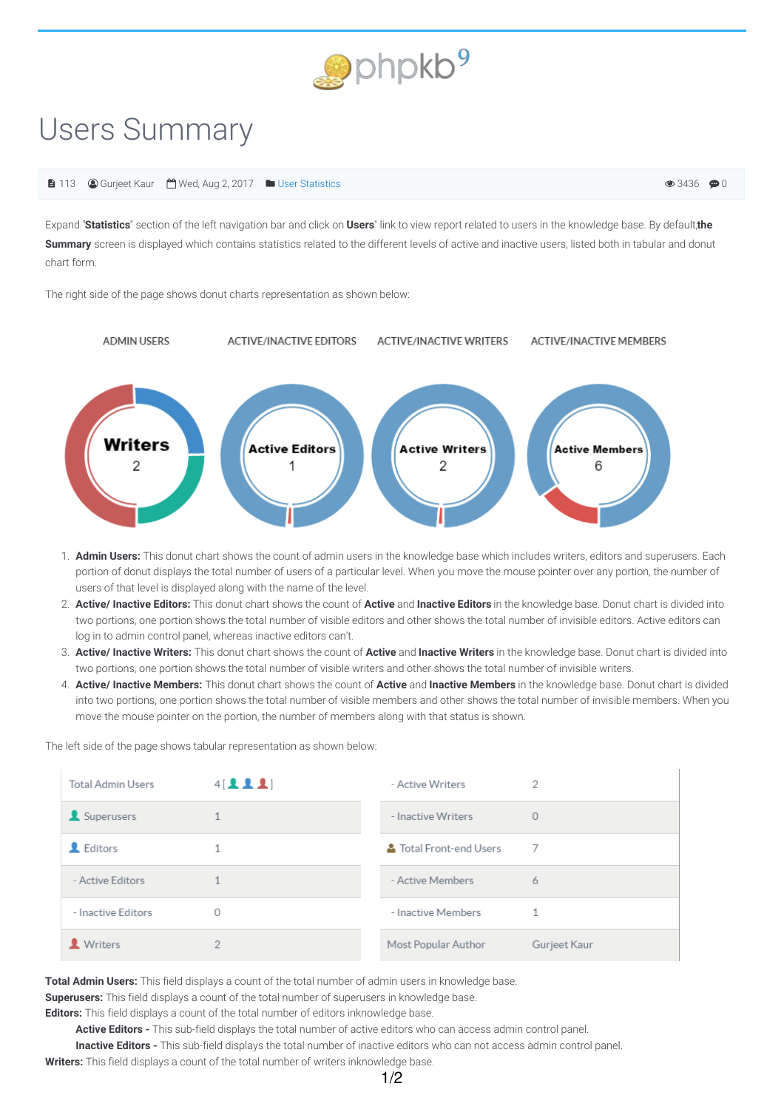

## Users Summary

## ■ 113 ■ Gurjeet Kaur ■ Wed, Aug 2, 2017 ■ User [Statistics](https://www.phpkb.com/kb/category/user-manual/admin-control-panel/statistics-reports/user-statistics/27/)

 $\odot$  3436  $\odot$  0

Expand "Statistics" section of the left navigation bar and click on Users" link to view report related to users in the knowledge base. By default, the **Summary** screen is displayed which contains statistics related to the different levels of active and inactive users, listed both in tabular and donut chart form.

The right side of the page shows donut charts representation as shown below:



- 1. **Admin Users:** This donut chart shows the count of admin users in the knowledge base which includes writers, editors and superusers. Each portion of donut displays the total number of users of a particular level. When you move the mouse pointer over any portion, the number of users of that level is displayed along with the name of the level.
- 2. **Active/ Inactive Editors:** This donut chart shows the count of **Active** and **Inactive Editors** in the knowledge base. Donut chart is divided into two portions, one portion shows the total number of visible editors and other shows the total number of invisible editors. Active editors can log in to admin control panel, whereas inactive editors can't.
- 3. **Active/ Inactive Writers:** This donut chart shows the count of **Active** and **Inactive Writers** in the knowledge base. Donut chart is divided into two portions, one portion shows the total number of visible writers and other shows the total number of invisible writers.
- 4. **Active/ Inactive Members:** This donut chart shows the count of **Active** and **Inactive Members** in the knowledge base. Donut chart is divided into two portions, one portion shows the total number of visible members and other shows the total number of invisible members. When you move the mouse pointer on the portion, the number of members along with that status is shown.

The left side of the page shows tabular representation as shown below:

| <b>Total Admin Users</b> | 4[221] | - Active Writers      | 2            |
|--------------------------|--------|-----------------------|--------------|
| Superusers               |        | - Inactive Writers    | $\Omega$     |
| L Editors                |        | Total Front-end Users | 7            |
| - Active Editors         |        | - Active Members      | 6            |
| - Inactive Editors       | O      | - Inactive Members    | 1            |
| Writers                  | ŋ      | Most Popular Author   | Gurjeet Kaur |

**Total Admin Users:** This field displays a count of the total number of admin users in knowledge base.

**Superusers:** This field displays a count of the total number of superusers in knowledge base.

**Editors:** This field displays a count of the total number of editors inknowledge base.

**Active Editors -** This sub-field displays the total number of active editors who can access admin control panel.

**Inactive Editors -** This sub-field displays the total number of inactive editors who can not access admin control panel.

**Writers:** This field displays a count of the total number of writers inknowledge base.

1/2